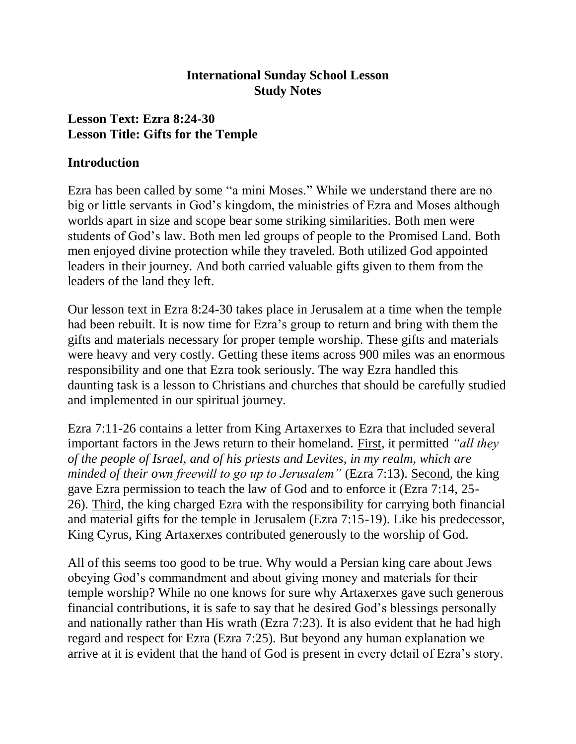### **International Sunday School Lesson Study Notes**

## **Lesson Text: Ezra 8:24-30 Lesson Title: Gifts for the Temple**

#### **Introduction**

Ezra has been called by some "a mini Moses." While we understand there are no big or little servants in God's kingdom, the ministries of Ezra and Moses although worlds apart in size and scope bear some striking similarities. Both men were students of God's law. Both men led groups of people to the Promised Land. Both men enjoyed divine protection while they traveled. Both utilized God appointed leaders in their journey. And both carried valuable gifts given to them from the leaders of the land they left.

Our lesson text in Ezra 8:24-30 takes place in Jerusalem at a time when the temple had been rebuilt. It is now time for Ezra's group to return and bring with them the gifts and materials necessary for proper temple worship. These gifts and materials were heavy and very costly. Getting these items across 900 miles was an enormous responsibility and one that Ezra took seriously. The way Ezra handled this daunting task is a lesson to Christians and churches that should be carefully studied and implemented in our spiritual journey.

Ezra 7:11-26 contains a letter from King Artaxerxes to Ezra that included several important factors in the Jews return to their homeland. First, it permitted *"all they of the people of Israel, and of his priests and Levites, in my realm, which are minded of their own freewill to go up to Jerusalem"* (Ezra 7:13). Second, the king gave Ezra permission to teach the law of God and to enforce it (Ezra 7:14, 25- 26). Third, the king charged Ezra with the responsibility for carrying both financial and material gifts for the temple in Jerusalem (Ezra 7:15-19). Like his predecessor, King Cyrus, King Artaxerxes contributed generously to the worship of God.

All of this seems too good to be true. Why would a Persian king care about Jews obeying God's commandment and about giving money and materials for their temple worship? While no one knows for sure why Artaxerxes gave such generous financial contributions, it is safe to say that he desired God's blessings personally and nationally rather than His wrath (Ezra 7:23). It is also evident that he had high regard and respect for Ezra (Ezra 7:25). But beyond any human explanation we arrive at it is evident that the hand of God is present in every detail of Ezra's story.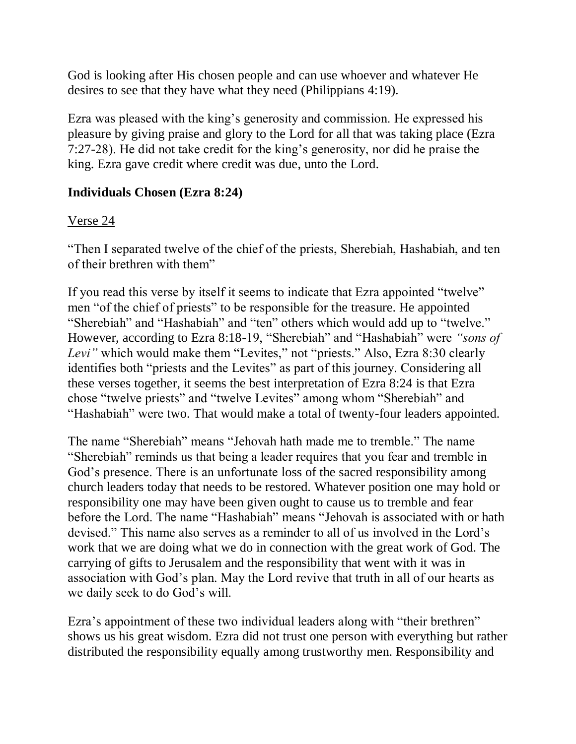God is looking after His chosen people and can use whoever and whatever He desires to see that they have what they need (Philippians 4:19).

Ezra was pleased with the king's generosity and commission. He expressed his pleasure by giving praise and glory to the Lord for all that was taking place (Ezra 7:27-28). He did not take credit for the king's generosity, nor did he praise the king. Ezra gave credit where credit was due, unto the Lord.

### **Individuals Chosen (Ezra 8:24)**

### Verse 24

"Then I separated twelve of the chief of the priests, Sherebiah, Hashabiah, and ten of their brethren with them"

If you read this verse by itself it seems to indicate that Ezra appointed "twelve" men "of the chief of priests" to be responsible for the treasure. He appointed "Sherebiah" and "Hashabiah" and "ten" others which would add up to "twelve." However, according to Ezra 8:18-19, "Sherebiah" and "Hashabiah" were *"sons of Levi"* which would make them "Levites," not "priests." Also, Ezra 8:30 clearly identifies both "priests and the Levites" as part of this journey. Considering all these verses together, it seems the best interpretation of Ezra 8:24 is that Ezra chose "twelve priests" and "twelve Levites" among whom "Sherebiah" and "Hashabiah" were two. That would make a total of twenty-four leaders appointed.

The name "Sherebiah" means "Jehovah hath made me to tremble." The name "Sherebiah" reminds us that being a leader requires that you fear and tremble in God's presence. There is an unfortunate loss of the sacred responsibility among church leaders today that needs to be restored. Whatever position one may hold or responsibility one may have been given ought to cause us to tremble and fear before the Lord. The name "Hashabiah" means "Jehovah is associated with or hath devised." This name also serves as a reminder to all of us involved in the Lord's work that we are doing what we do in connection with the great work of God. The carrying of gifts to Jerusalem and the responsibility that went with it was in association with God's plan. May the Lord revive that truth in all of our hearts as we daily seek to do God's will.

Ezra's appointment of these two individual leaders along with "their brethren" shows us his great wisdom. Ezra did not trust one person with everything but rather distributed the responsibility equally among trustworthy men. Responsibility and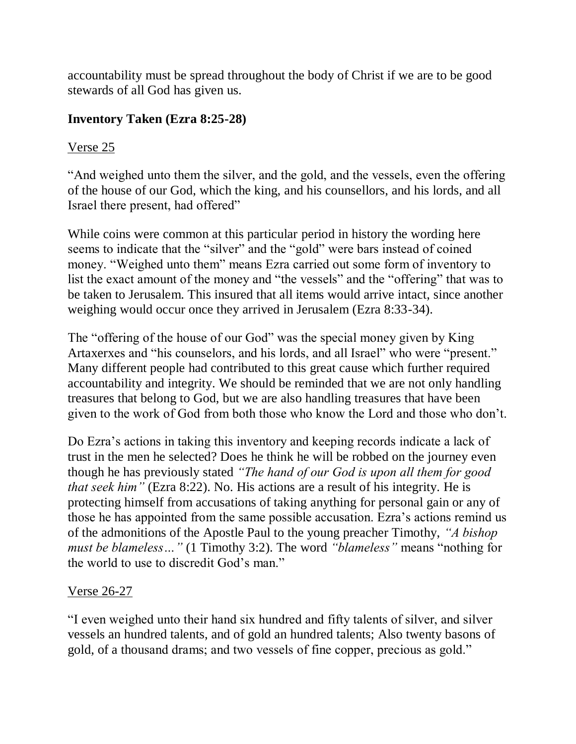accountability must be spread throughout the body of Christ if we are to be good stewards of all God has given us.

## **Inventory Taken (Ezra 8:25-28)**

# Verse 25

"And weighed unto them the silver, and the gold, and the vessels, even the offering of the house of our God, which the king, and his counsellors, and his lords, and all Israel there present, had offered"

While coins were common at this particular period in history the wording here seems to indicate that the "silver" and the "gold" were bars instead of coined money. "Weighed unto them" means Ezra carried out some form of inventory to list the exact amount of the money and "the vessels" and the "offering" that was to be taken to Jerusalem. This insured that all items would arrive intact, since another weighing would occur once they arrived in Jerusalem (Ezra 8:33-34).

The "offering of the house of our God" was the special money given by King Artaxerxes and "his counselors, and his lords, and all Israel" who were "present." Many different people had contributed to this great cause which further required accountability and integrity. We should be reminded that we are not only handling treasures that belong to God, but we are also handling treasures that have been given to the work of God from both those who know the Lord and those who don't.

Do Ezra's actions in taking this inventory and keeping records indicate a lack of trust in the men he selected? Does he think he will be robbed on the journey even though he has previously stated *"The hand of our God is upon all them for good that seek him"* (Ezra 8:22). No. His actions are a result of his integrity. He is protecting himself from accusations of taking anything for personal gain or any of those he has appointed from the same possible accusation. Ezra's actions remind us of the admonitions of the Apostle Paul to the young preacher Timothy, *"A bishop must be blameless…"* (1 Timothy 3:2). The word *"blameless"* means "nothing for the world to use to discredit God's man."

### Verse 26-27

"I even weighed unto their hand six hundred and fifty talents of silver, and silver vessels an hundred talents, and of gold an hundred talents; Also twenty basons of gold, of a thousand drams; and two vessels of fine copper, precious as gold."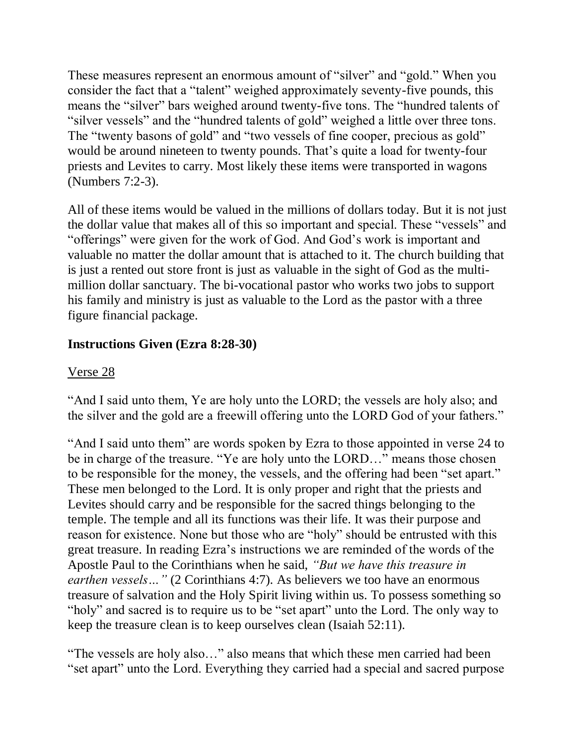These measures represent an enormous amount of "silver" and "gold." When you consider the fact that a "talent" weighed approximately seventy-five pounds, this means the "silver" bars weighed around twenty-five tons. The "hundred talents of "silver vessels" and the "hundred talents of gold" weighed a little over three tons. The "twenty basons of gold" and "two vessels of fine cooper, precious as gold" would be around nineteen to twenty pounds. That's quite a load for twenty-four priests and Levites to carry. Most likely these items were transported in wagons (Numbers 7:2-3).

All of these items would be valued in the millions of dollars today. But it is not just the dollar value that makes all of this so important and special. These "vessels" and "offerings" were given for the work of God. And God's work is important and valuable no matter the dollar amount that is attached to it. The church building that is just a rented out store front is just as valuable in the sight of God as the multimillion dollar sanctuary. The bi-vocational pastor who works two jobs to support his family and ministry is just as valuable to the Lord as the pastor with a three figure financial package.

# **Instructions Given (Ezra 8:28-30)**

# Verse 28

"And I said unto them, Ye are holy unto the LORD; the vessels are holy also; and the silver and the gold are a freewill offering unto the LORD God of your fathers."

"And I said unto them" are words spoken by Ezra to those appointed in verse 24 to be in charge of the treasure. "Ye are holy unto the LORD…" means those chosen to be responsible for the money, the vessels, and the offering had been "set apart." These men belonged to the Lord. It is only proper and right that the priests and Levites should carry and be responsible for the sacred things belonging to the temple. The temple and all its functions was their life. It was their purpose and reason for existence. None but those who are "holy" should be entrusted with this great treasure. In reading Ezra's instructions we are reminded of the words of the Apostle Paul to the Corinthians when he said, *"But we have this treasure in earthen vessels* ... " (2 Corinthians 4:7). As believers we too have an enormous treasure of salvation and the Holy Spirit living within us. To possess something so "holy" and sacred is to require us to be "set apart" unto the Lord. The only way to keep the treasure clean is to keep ourselves clean (Isaiah 52:11).

"The vessels are holy also…" also means that which these men carried had been "set apart" unto the Lord. Everything they carried had a special and sacred purpose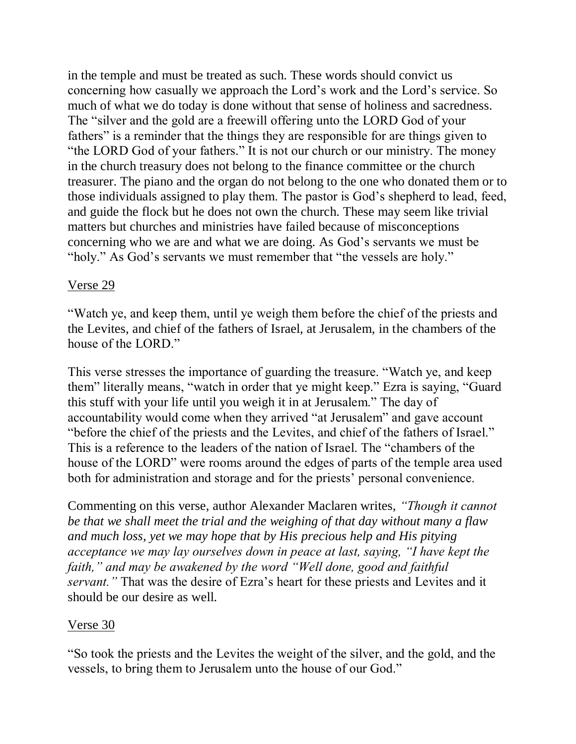in the temple and must be treated as such. These words should convict us concerning how casually we approach the Lord's work and the Lord's service. So much of what we do today is done without that sense of holiness and sacredness. The "silver and the gold are a freewill offering unto the LORD God of your fathers" is a reminder that the things they are responsible for are things given to "the LORD God of your fathers." It is not our church or our ministry. The money in the church treasury does not belong to the finance committee or the church treasurer. The piano and the organ do not belong to the one who donated them or to those individuals assigned to play them. The pastor is God's shepherd to lead, feed, and guide the flock but he does not own the church. These may seem like trivial matters but churches and ministries have failed because of misconceptions concerning who we are and what we are doing. As God's servants we must be "holy." As God's servants we must remember that "the vessels are holy."

### Verse 29

"Watch ye, and keep them, until ye weigh them before the chief of the priests and the Levites, and chief of the fathers of Israel, at Jerusalem, in the chambers of the house of the LORD."

This verse stresses the importance of guarding the treasure. "Watch ye, and keep them" literally means, "watch in order that ye might keep." Ezra is saying, "Guard this stuff with your life until you weigh it in at Jerusalem." The day of accountability would come when they arrived "at Jerusalem" and gave account "before the chief of the priests and the Levites, and chief of the fathers of Israel." This is a reference to the leaders of the nation of Israel. The "chambers of the house of the LORD" were rooms around the edges of parts of the temple area used both for administration and storage and for the priests' personal convenience.

Commenting on this verse, author Alexander Maclaren writes, *"Though it cannot be that we shall meet the trial and the weighing of that day without many a flaw and much loss, yet we may hope that by His precious help and His pitying acceptance we may lay ourselves down in peace at last, saying, "I have kept the faith," and may be awakened by the word "Well done, good and faithful servant."* That was the desire of Ezra's heart for these priests and Levites and it should be our desire as well.

#### Verse 30

"So took the priests and the Levites the weight of the silver, and the gold, and the vessels, to bring them to Jerusalem unto the house of our God."